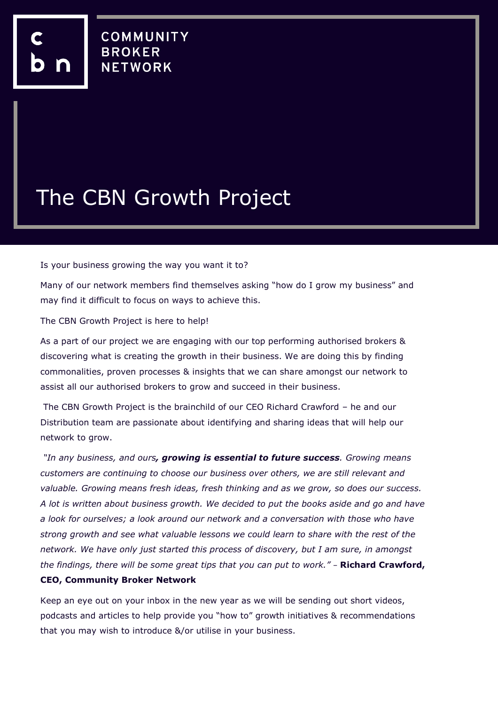## The CBN Growth Project

Is your business growing the way you want it to?

Many of our network members find themselves asking "how do I grow my business" and may find it difficult to focus on ways to achieve this.

The CBN Growth Project is here to help!

As a part of our project we are engaging with our top performing authorised brokers & discovering what is creating the growth in their business. We are doing this by finding commonalities, proven processes & insights that we can share amongst our network to assist all our authorised brokers to grow and succeed in their business.

The CBN Growth Project is the brainchild of our CEO Richard Crawford – he and our Distribution team are passionate about identifying and sharing ideas that will help our network to grow.

*"In any business, and ours, growing is essential to future success. Growing means customers are continuing to choose our business over others, we are still relevant and valuable. Growing means fresh ideas, fresh thinking and as we grow, so does our success. A lot is written about business growth. We decided to put the books aside and go and have a look for ourselves; a look around our network and a conversation with those who have strong growth and see what valuable lessons we could learn to share with the rest of the network. We have only just started this process of discovery, but I am sure, in amongst the findings, there will be some great tips that you can put to work."* – **Richard Crawford, CEO, Community Broker Network**

Keep an eye out on your inbox in the new year as we will be sending out short videos, podcasts and articles to help provide you "how to" growth initiatives & recommendations that you may wish to introduce &/or utilise in your business.